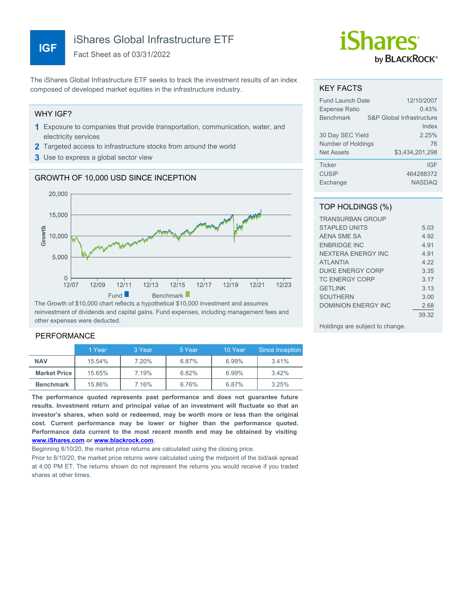## iShares Global Infrastructure ETF

Fact Sheet as of 03/31/2022

The iShares Global Infrastructure ETF seeks to track the investment results of an index composed of developed market equities in the infrastructure industry.

#### WHY IGF?

- **1** Exposure to companies that provide transportation, communication, water, and electricity services
- **2** Targeted access to infrastructure stocks from around the world
- **3** Use to express a global sector view

## GROWTH OF 10,000 USD SINCE INCEPTION



reinvestment of dividends and capital gains. Fund expenses, including management fees and other expenses were deducted.

## PERFORMANCE

|                     | 1 Year | 3 Year | 5 Year | 10 Year | Since Inception |
|---------------------|--------|--------|--------|---------|-----------------|
| <b>NAV</b>          | 15.54% | 7.20%  | 6.87%  | 6.99%   | 3.41%           |
| <b>Market Price</b> | 15.65% | 7.19%  | 6.82%  | 6.99%   | 3.42%           |
| <b>Benchmark</b>    | 15.86% | 7.16%  | 6.76%  | 6.87%   | 3.25%           |

**The performance quoted represents past performance and does not guarantee future results. Investment return and principal value of an investment will fluctuate so that an investor's shares, when sold or redeemed, may be worth more or less than the original cost. Current performance may be lower or higher than the performance quoted. Performance data current to the most recent month end may be obtained by visiting [www.iShares.com](http://www.iShares.com) or [www.blackrock.com](http://www.blackrock.com).**

Beginning 8/10/20, the market price returns are calculated using the closing price.

Prior to 8/10/20, the market price returns were calculated using the midpoint of the bid/ask spread at 4:00 PM ET. The returns shown do not represent the returns you would receive if you traded shares at other times.

# *iShares* by **BLACKROCK**®

#### KEY FACTS

| <b>Fund Launch Date</b> | 12/10/2007                         |
|-------------------------|------------------------------------|
| <b>Expense Ratio</b>    | 0.43%                              |
| <b>Benchmark</b>        | S&P Global Infrastructure<br>Index |
| 30 Day SEC Yield        | 2.25%                              |
| Number of Holdings      | 76                                 |
| <b>Net Assets</b>       | \$3,434,201,298                    |
| <b>Ticker</b>           | <b>IGF</b>                         |
| <b>CUSIP</b>            | 464288372                          |
| Exchange                | <b>NASDAQ</b>                      |

## TOP HOLDINGS (%)

| <b>TRANSURBAN GROUP</b> |       |
|-------------------------|-------|
| STAPI FD UNITS          | 5.03  |
| AFNA SMF SA             | 4.92  |
| <b>FNBRIDGE INC</b>     | 4 91  |
| NEXTERA ENERGY INC      | 4 91  |
| <b>ATI ANTIA</b>        | 4.22  |
| <b>DUKE ENERGY CORP</b> | 3.35  |
| <b>TC ENERGY CORP</b>   | 3 17  |
| <b>GETLINK</b>          | 3.13  |
| <b>SOUTHERN</b>         | 3.00  |
| DOMINION ENFRGY INC     | 2.68  |
|                         | 39.32 |
|                         |       |

Holdings are subject to change.

## **IGF**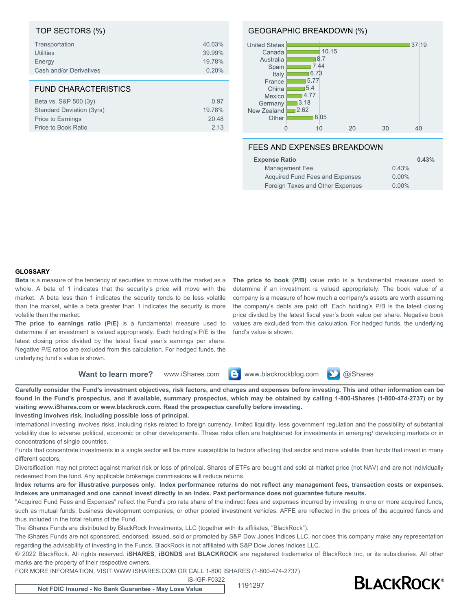| TOP SECTORS (%)             |        |
|-----------------------------|--------|
| Transportation              | 40.03% |
| <b>Utilities</b>            | 39.99% |
| Energy                      | 19.78% |
| Cash and/or Derivatives     | 0.20%  |
|                             |        |
|                             |        |
| <b>FUND CHARACTERISTICS</b> |        |
| Beta vs. S&P 500 (3y)       | 0.97   |
| Standard Deviation (3yrs)   | 19.78% |
| Price to Earnings           | 20.48  |

#### GEOGRAPHIC BREAKDOWN (%)



### FEES AND EXPENSES BREAKDOWN

| <b>Expense Ratio</b>             | 0.43%    |
|----------------------------------|----------|
| Management Fee                   | 0.43%    |
| Acquired Fund Fees and Expenses  | $0.00\%$ |
| Foreign Taxes and Other Expenses | $0.00\%$ |

#### **GLOSSARY**

**Beta** is a measure of the tendency of securities to move with the market as a whole. A beta of 1 indicates that the security's price will move with the market. A beta less than 1 indicates the security tends to be less volatile than the market, while a beta greater than 1 indicates the security is more volatile than the market.

**The price to earnings ratio (P/E)** is a fundamental measure used to determine if an investment is valued appropriately. Each holding's P/E is the latest closing price divided by the latest fiscal year's earnings per share. Negative P/E ratios are excluded from this calculation. For hedged funds, the underlying fund's value is shown.

**The price to book (P/B)** value ratio is a fundamental measure used to determine if an investment is valued appropriately. The book value of a company is a measure of how much a company's assets are worth assuming the company's debts are paid off. Each holding's P/B is the latest closing price divided by the latest fiscal year's book value per share. Negative book values are excluded from this calculation. For hedged funds, the underlying fund's value is shown.

**Want to learn more?** www.iShares.com **a** www.blackrockblog.com **y** @iShares



**Investing involves risk, including possible loss of principal.**

International investing involves risks, including risks related to foreign currency, limited liquidity, less government regulation and the possibility of substantial volatility due to adverse political, economic or other developments. These risks often are heightened for investments in emerging/ developing markets or in concentrations of single countries.

Funds that concentrate investments in a single sector will be more susceptible to factors affecting that sector and more volatile than funds that invest in many different sectors.

Diversification may not protect against market risk or loss of principal. Shares of ETFs are bought and sold at market price (not NAV) and are not individually redeemed from the fund. Any applicable brokerage commissions will reduce returns.

**Index returns are for illustrative purposes only. Index performance returns do not reflect any management fees, transaction costs or expenses. Indexes are unmanaged and one cannot invest directly in an index. Past performance does not guarantee future results.**

"Acquired Fund Fees and Expenses" reflect the Fund's pro rata share of the indirect fees and expenses incurred by investing in one or more acquired funds, such as mutual funds, business development companies, or other pooled investment vehicles. AFFE are reflected in the prices of the acquired funds and thus included in the total returns of the Fund.

The iShares Funds are distributed by BlackRock Investments, LLC (together with its affiliates, "BlackRock").

The iShares Funds are not sponsored, endorsed, issued, sold or promoted by S&P Dow Jones Indices LLC, nor does this company make any representation regarding the advisability of investing in the Funds. BlackRock is not affiliated with S&P Dow Jones Indices LLC.

© 2022 BlackRock. All rights reserved. **iSHARES**, **iBONDS** and **BLACKROCK** are registered trademarks of BlackRock Inc, or its subsidiaries. All other marks are the property of their respective owners.

FOR MORE INFORMATION, VISIT WWW.ISHARES.COM OR CALL 1-800 ISHARES (1-800-474-2737)

iS-IGF-F0322